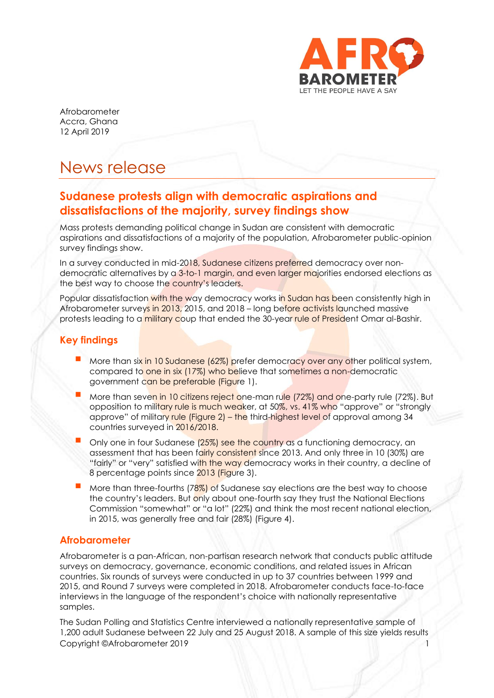

Afrobarometer Accra, Ghana 12 April 2019

# News release

## **Sudanese protests align with democratic aspirations and dissatisfactions of the majority, survey findings show**

Mass protests demanding political change in Sudan are consistent with democratic aspirations and dissatisfactions of a majority of the population, Afrobarometer public-opinion survey findings show.

In a survey conducted in mid-2018, Sudanese citizens preferred democracy over nondemocratic alternatives by a 3-to-1 margin, and even larger majorities endorsed elections as the best way to choose the country's leaders.

Popular dissatisfaction with the way democracy works in Sudan has been consistently high in Afrobarometer surveys in 2013, 2015, and 2018 – long before activists launched massive protests leading to a military coup that ended the 30-year rule of President Omar al-Bashir.

## **Key findings**

- More than six in 10 Sudanese (62%) prefer democracy over any other political system, compared to one in six (17%) who believe that sometimes a non-democratic government can be preferable (Figure 1).
- More than seven in 10 citizens reject one-man rule (72%) and one-party rule (72%). But opposition to military rule is much weaker, at 50%, vs. 41% who "approve" or "strongly approve" of military rule (Figure 2) – the third-highest level of approval among 34 countries surveyed in 2016/2018.
- Only one in four Sudanese (25%) see the country as a functioning democracy, an assessment that has been fairly consistent since 2013. And only three in 10 (30%) are "fairly" or "very" satisfied with the way democracy works in their country, a decline of 8 percentage points since 2013 (Figure 3).
- More than three-fourths  $(78%)$  of Sudanese say elections are the best way to choose the country's leaders. But only about one-fourth say they trust the National Elections Commission "somewhat" or "a lot" (22%) and think the most recent national election, in 2015, was generally free and fair (28%) (Figure 4).

#### **Afrobarometer**

Afrobarometer is a pan-African, non-partisan research network that conducts public attitude surveys on democracy, governance, economic conditions, and related issues in African countries. Six rounds of surveys were conducted in up to 37 countries between 1999 and 2015, and Round 7 surveys were completed in 2018. Afrobarometer conducts face-to-face interviews in the language of the respondent's choice with nationally representative samples.

Copyright ©Afrobarometer 2019 The Sudan Polling and Statistics Centre interviewed a nationally representative sample of 1,200 adult Sudanese between 22 July and 25 August 2018. A sample of this size yields results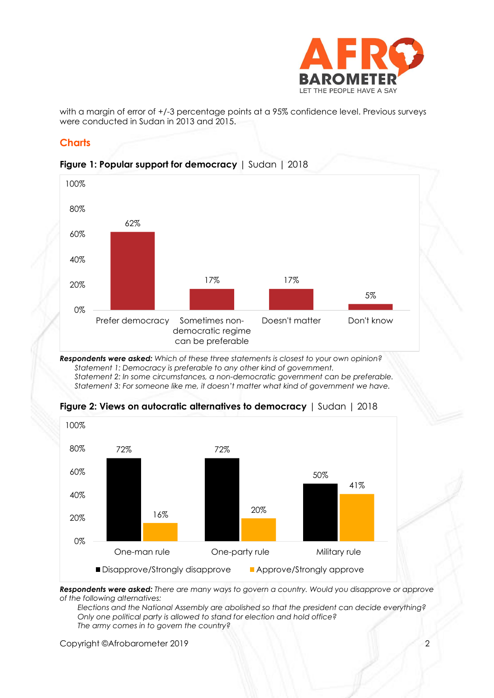

with a margin of error of  $+/-3$  percentage points at a 95% confidence level. Previous surveys were conducted in Sudan in 2013 and 2015.

## **Charts**



#### **Figure 1: Popular support for democracy** | Sudan | 2018

*Respondents were asked: Which of these three statements is closest to your own opinion? Statement 1: Democracy is preferable to any other kind of government. Statement 2: In some circumstances, a non-democratic government can be preferable. Statement 3: For someone like me, it doesn't matter what kind of government we have.*



#### **Figure 2: Views on autocratic alternatives to democracy** | Sudan | 2018

*Respondents were asked: There are many ways to govern a country. Would you disapprove or approve of the following alternatives:* 

*Elections and the National Assembly are abolished so that the president can decide everything? Only one political party is allowed to stand for election and hold office? The army comes in to govern the country?*

Copyright ©Afrobarometer 2019 2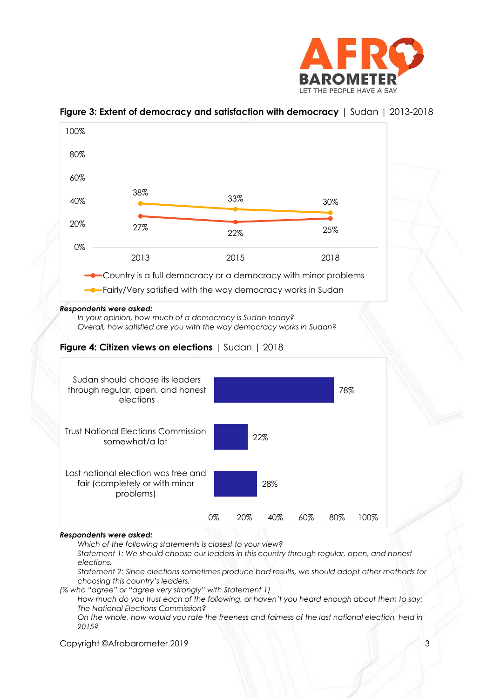



#### **Figure 3: Extent of democracy and satisfaction with democracy** | Sudan | 2013-2018

*Which of the following statements is closest to your view?* 

*Statement 1: We should choose our leaders in this country through regular, open, and honest elections.*

*Statement 2: Since elections sometimes produce bad results, we should adopt other methods for choosing this country's leaders.*

*(% who "agree" or "agree very strongly" with Statement 1)*

*How much do you trust each of the following, or haven't you heard enough about them to say: The National Elections Commission?*

*On the whole, how would you rate the freeness and fairness of the last national election, held in 2015?*

Copyright ©Afrobarometer 2019 3